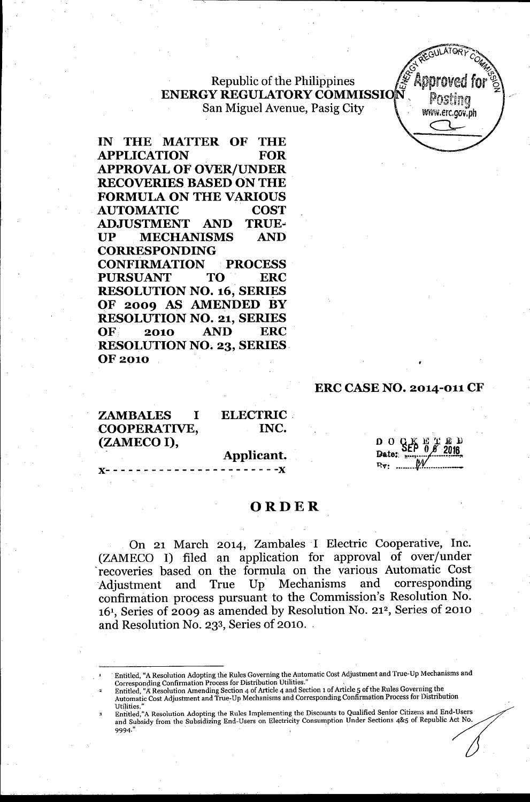## Republic of the Philippines **ENERGY REGULATORY COMMISSI** San Miguel Avenue, Pasig City



**IN THE MATTER OF THE APPLICATION FOR APPROVAL OF OVER/UNDER RECOVERIES BASED ON THE FORMULA ON THE VARIOUS AUTOMATIC COST ADJUSTMENT AND TRUE-UP MECHANISMS AND CORRESPONDING CONFIRMATION PROCESS PURSUANT TO ERC RESOLUTION NO. 16, SERIES OF 2009 AS AMENDED BY RESOLUTION NO. 21, SERIES OF 2010 AND ERC RESOLUTION NO. 23, SERIES. OF 2010**

#### **ERC CASE NO. 2014-011 CF**

**ZAMBALES I COOPERATIVE, (ZAMECOI),**

**ELECTRIC. INC.**

**Applicant,**

x-----------------------x

# **ORDER**

On 21 March 2014, Zambales I Electric Cooperative, Inc. (ZAMECO I) filed an application for approval of over/under .recoveries based on the formula on the various Automatic Cost Adjustment and True Up Mechanisms and corresponding confirmation process pursuant to the Commission's Resolution No. 161, Series of 2009 as amended by Resolution No. 21<sup>2</sup> , Series of 2010 and Resolution No. 233, Series of 2010.

Entitled,"A Resolution Adopting the Rules Implementing the Discounts to Qualified Senior Citizens and End-Users and Subsidy from the Subsidizing End-Users on Electricity Consumption Under Sections 4&5 of Republic Act No. 9994."

Entitled, "A Resolution Adopting the Rules Governing the Automatic Cost Adjustment and True-Up Mechanisms and Corresponding Confirmation Process for Distribution Utilities."

Entitled, "A Resolution Amending Section 4 of Article 4 and Section 1 of Article 5 of the Rules Governing the Automatic Cost Adjustment and True:Up Mechanisms and Corresponding Confirmation Process for Distribution Utilities:'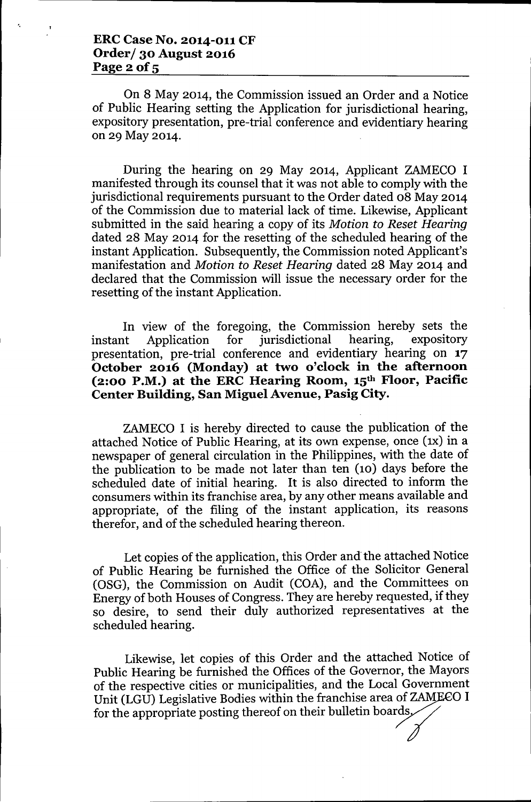#### ERC Case No. 2014-011 CF Order/ 30 August 2016 Page  $2$  of  $5$

On 8 May 2014, the Commission issued an Order and a Notice of Public Hearing setting the Application for jurisdictional hearing, expository presentation, pre-trial conference and evidentiary hearing on 29 May 2014.

During the hearing on 29 May 2014, Applicant ZAMECO I manifested through its counsel that it was not able to comply with the jurisdictional requirements pursuant to the Order dated 08 May 2014 of the Commission due to material lack of time. Likewise, Applicant submitted in the said hearing a copy of its *Motion to Reset Hearing* dated 28 May 2014 for the resetting of the scheduled hearing of the instant Application. Subsequently, the Commission noted Applicant's manifestation and *Motion to Reset Hearing* dated 28 May 2014 and declared that the Commission will issue the necessary order for the resetting of the instant Application.

In view of the foregoing, the Commission hereby sets the instant Application for jurisdictional hearing, expository presentation, pre-trial conference and evidentiary hearing on 17 October 2016 (Monday) at two o'clock in the afternoon  $(2:00 \text{ P.M.})$  at the ERC Hearing Room,  $15^{\text{th}}$  Floor, Pacific Center Building, San Miguel Avenue, Pasig City.

ZAMECO I is hereby directed to cause the publication of the attached Notice of Public Hearing, at its own expense, once (1x) in a newspaper of general circulation in the Philippines, with the date of the publication to be made not later than ten (10) days before the scheduled date of initial hearing. It is also directed to inform the consumers within its franchise area, by any other means available and appropriate, of the filing of the instant application, its reasons therefor, and of the scheduled hearing thereon.

Let copies of the application, this Order and'the attached Notice of Public Hearing be furnished the Office of the Solicitor General (OSG), the Commission on Audit (COA), and the Committees on Energy of both Houses of Congress. They are hereby requested, if they so desire, to send their duly authorized representatives at the scheduled hearing.

Likewise, let copies of this Order and the attached Notice of Public Hearing be furnished the Offices of the Governor, the Mayors of the respective cities or municipalities, and the Local Government Unit (LGU) Legislative Bodies within the franchise area of ZAMECO I for the appropriate posting thereof on their bulletin boards,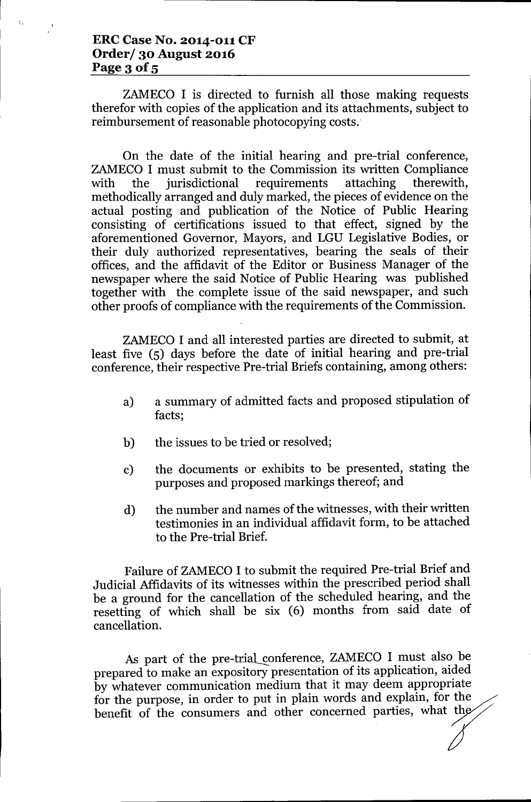## **ERC Case No. 2014-011 CF Order/ 30 August 2016** Page 3 of 5

 $\mathbf{t}$ 

ZAMECO I is directed to furnish all those making requests therefor with copies of the application and its attachments, subject to reimbursement of reasonable photocopying costs..

On the date of the initial hearing and pre-trial conference, ZAMECO I must submit to the Commission its written Compliance with the jurisdictional requirements attaching therewith, methodically arranged and duly marked, the pieces of evidence on the actual posting and publication of the Notice of Public Hearing consisting of certifications issued to that effect, signed by the aforementioned Governor, Mayors, and LGU Legislative Bodies, or their duly authorized representatives, bearing the seals of their offices, and the affidavit of the Editor or Business Manager of the newspaper where the said Notice of Public Hearing was published together with the complete issue of the said newspaper, and such other proofs of compliance with the requirements of the Commission.

ZAMECO I and all interested parties are directed to submit, at least five (5) days before the date of initial hearing and pre-trial conference, their respective Pre-trial Briefs containing, among others:

- a) a summary of admitted facts and proposed stipulation of facts;
- b) the issues to be tried or resolved;
- c) the documents or exhibits to be presented, stating the purposes and proposed markings thereof; and
- d) the number and names of the witnesses, with their written testimonies in an individual affidavit form, to be attached to the Pre-trial Brief.

Failure of ZAMECO I to submit the required Pre-trial Brief and Judicial Affidavits of its witnesses within the prescribed period shall be a ground for the cancellation of the scheduled hearing, and the resetting of which shall be six (6) months from said date of cancellation.

As part of the pre-trial conference, ZAMECO I must also be prepared to make an expository presentation of its application, aided by whatever communication medium that it may deem appropriate for the purpose, in order to put in plain words and explain, for the purpose, in order to put in plain words and explain, for the cancellation.<br>
As part of the pre-trial conference, ZAMECO I must also be<br>
prepared to make an expository presentation of its application, aided<br>
by whatever communication medium that it may deem appropriate<br>
for the purpo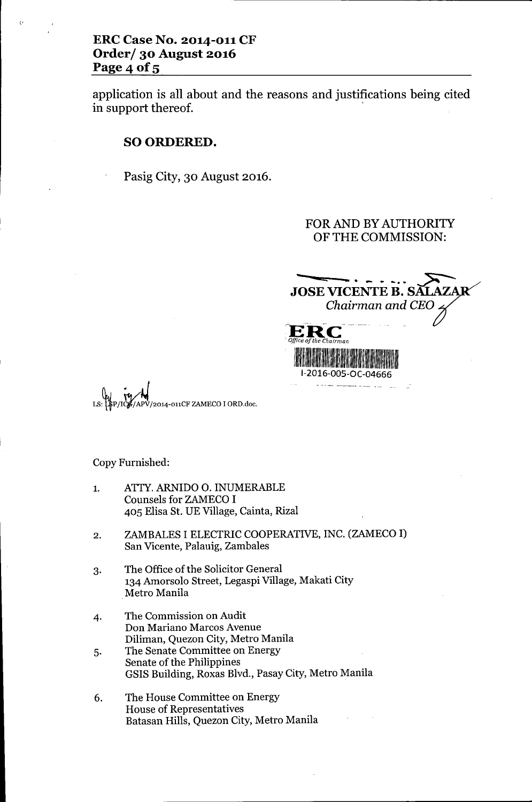## **ERC Case No. 2014-011 CF Order/ 30 August 2016** Page 4 of 5

(,

application is all about and the reasons and justifications being cited in support thereof.

#### SO ORDERED.

Pasig City, 30 August 2016.

#### FOR AND BY AUTHORITY OF THE COMMISSION:

**JOSE VICENTE B. SĂLAZAR** Chairman and CEO.  $E_{\rm E}$  $\tilde{J}$ C<br>hairm *Office of the Chairman* 11:11 **111** 1-2016-005-0C-04666

2014-011CF ZAMECO I ORD.doc.

Copy Furnished:

- 1. ATfY. ARNIDO O. INUMERABLE Counsels for ZAMECO I 405 Elisa St. UE Village, Cainta, Rizal
- 2. ZAMBALES I ELECTRIC COOPERATIVE, INC. (ZAMECO I) San Vicente, Palauig, Zambales
- 3. The Office of the Solicitor General 134 Amorsolo Street, Legaspi Village, Makati City Metro Manila
- 4. The Commission on Audit Don Mariano Marcos Avenue Diliman, Quezon City, Metro Manila
- 5. The Senate Committee on Energy Senate of the Philippines GSIS Building, Roxas Blvd., Pasay City, Metro Manila
- 6. The House Committee on Energy House of Representatives Batasan Hills, Quezon City, Metro Manila